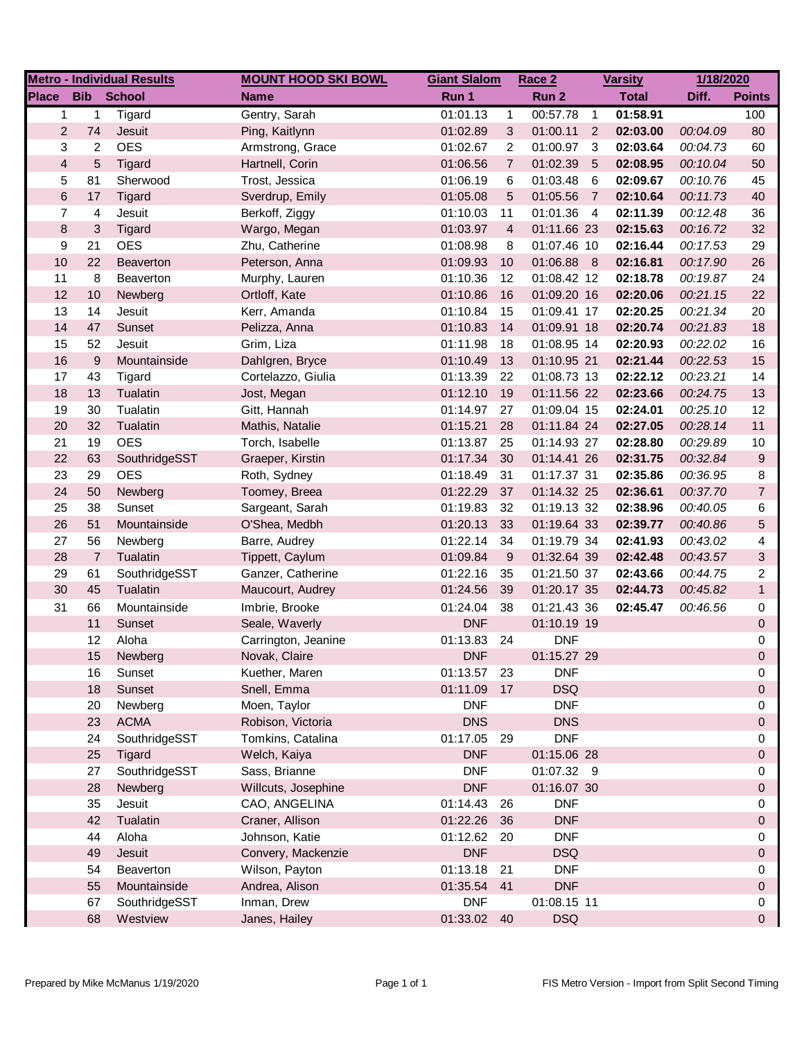| <b>Metro - Individual Results</b> |                |                   | <b>MOUNT HOOD SKI BOWL</b>       | <b>Giant Slalom</b> |                | Race 2      | <b>Varsity</b> |              | 1/18/2020 |                           |
|-----------------------------------|----------------|-------------------|----------------------------------|---------------------|----------------|-------------|----------------|--------------|-----------|---------------------------|
| <b>Place</b>                      |                | <b>Bib</b> School | <b>Name</b>                      | Run 1               |                | Run 2       |                | <b>Total</b> | Diff.     | <b>Points</b>             |
| $\mathbf{1}$                      | 1              | Tigard            | Gentry, Sarah                    | 01:01.13            | $\mathbf{1}$   | 00:57.78    | $\overline{1}$ | 01:58.91     |           | 100                       |
| $\overline{c}$                    | 74             | Jesuit            | Ping, Kaitlynn                   | 01:02.89            | 3              | 01:00.11    | 2              | 02:03.00     | 00:04.09  | 80                        |
| 3                                 | 2              | <b>OES</b>        | Armstrong, Grace                 | 01:02.67            | 2              | 01:00.97    | - 3            | 02:03.64     | 00:04.73  | 60                        |
| $\overline{4}$                    | $\overline{5}$ | Tigard            | Hartnell, Corin                  | 01:06.56            | $\overline{7}$ | 01:02.39    | $-5$           | 02:08.95     | 00:10.04  | 50                        |
| 5                                 | 81             | Sherwood          | Trost, Jessica                   | 01:06.19            | 6              | 01:03.48    | -6             | 02:09.67     | 00:10.76  | 45                        |
| $\,6$                             | 17             | Tigard            | Sverdrup, Emily                  | 01:05.08            | $\sqrt{5}$     | 01:05.56    | $\overline{7}$ | 02:10.64     | 00:11.73  | 40                        |
| $\overline{7}$                    | 4              | Jesuit            | Berkoff, Ziggy                   | 01:10.03            | 11             | 01:01.36    | $\overline{4}$ | 02:11.39     | 00:12.48  | 36                        |
| $\bf 8$                           | 3              | Tigard            | Wargo, Megan                     | 01:03.97            | $\overline{4}$ | 01:11.66 23 |                | 02:15.63     | 00:16.72  | 32                        |
| 9                                 | 21             | <b>OES</b>        | Zhu, Catherine                   | 01:08.98            | 8              | 01:07.46 10 |                | 02:16.44     | 00:17.53  | 29                        |
| 10                                | 22             | Beaverton         | Peterson, Anna                   | 01:09.93            | 10             | 01:06.88 8  |                | 02:16.81     | 00:17.90  | 26                        |
| 11                                | 8              | Beaverton         | Murphy, Lauren                   | 01:10.36            | 12             | 01:08.42 12 |                | 02:18.78     | 00:19.87  | 24                        |
| 12                                | 10             | Newberg           | Ortloff, Kate                    | 01:10.86            | 16             | 01:09.20 16 |                | 02:20.06     | 00:21.15  | 22                        |
| 13                                | 14             | Jesuit            | Kerr, Amanda                     | 01:10.84            | 15             | 01:09.41 17 |                | 02:20.25     | 00:21.34  | 20                        |
| 14                                | 47             | Sunset            | Pelizza, Anna                    | 01:10.83            | 14             | 01:09.91 18 |                | 02:20.74     | 00:21.83  | 18                        |
| 15                                | 52             | Jesuit            | Grim, Liza                       | 01:11.98            | 18             | 01:08.95 14 |                | 02:20.93     | 00:22.02  | 16                        |
| $16$                              | 9              | Mountainside      | Dahlgren, Bryce                  | 01:10.49            | 13             | 01:10.95 21 |                | 02:21.44     | 00:22.53  | 15                        |
| 17                                | 43             | Tigard            | Cortelazzo, Giulia               | 01:13.39            | 22             | 01:08.73 13 |                | 02:22.12     | 00:23.21  | 14                        |
| 18                                | 13             | Tualatin          | Jost, Megan                      | 01:12.10            | 19             | 01:11.56 22 |                | 02:23.66     | 00:24.75  | 13                        |
| 19                                | 30             | Tualatin          | Gitt, Hannah                     | 01:14.97            | 27             | 01:09.04 15 |                | 02:24.01     | 00:25.10  | 12                        |
| 20                                | 32             | Tualatin          | Mathis, Natalie                  | 01:15.21            | 28             | 01:11.84 24 |                | 02:27.05     | 00:28.14  | 11                        |
| 21                                | 19             | <b>OES</b>        | Torch, Isabelle                  | 01:13.87            | 25             | 01:14.93 27 |                | 02:28.80     | 00:29.89  | $10$                      |
| 22                                | 63             | SouthridgeSST     | Graeper, Kirstin                 | 01:17.34            | 30             | 01:14.41 26 |                | 02:31.75     | 00:32.84  | 9                         |
| 23                                | 29             | <b>OES</b>        | Roth, Sydney                     | 01:18.49            | 31             | 01:17.37 31 |                | 02:35.86     | 00:36.95  | 8                         |
| 24                                | 50             | Newberg           | Toomey, Breea                    | 01:22.29            | 37             | 01:14.32 25 |                | 02:36.61     | 00:37.70  | $\overline{7}$            |
| 25                                | 38             | Sunset            | Sargeant, Sarah                  | 01:19.83            | 32             | 01:19.13 32 |                | 02:38.96     | 00:40.05  | 6                         |
| 26                                | 51             | Mountainside      | O'Shea, Medbh                    | 01:20.13            | 33             | 01:19.64 33 |                | 02:39.77     | 00:40.86  | 5                         |
| 27                                | 56             | Newberg           | Barre, Audrey                    | 01:22.14            | 34             | 01:19.79 34 |                | 02:41.93     | 00:43.02  | 4                         |
| 28                                | $\overline{7}$ | Tualatin          | Tippett, Caylum                  | 01:09.84            | 9              | 01:32.64 39 |                | 02:42.48     | 00:43.57  | $\ensuremath{\mathsf{3}}$ |
| 29                                | 61             | SouthridgeSST     | Ganzer, Catherine                | 01:22.16            | 35             | 01:21.50 37 |                | 02:43.66     | 00:44.75  | 2                         |
| 30                                | 45             | Tualatin          | Maucourt, Audrey                 | 01:24.56            | 39             | 01:20.17 35 |                | 02:44.73     | 00:45.82  | $\mathbf{1}$              |
| 31                                | 66             | Mountainside      | Imbrie, Brooke                   | 01:24.04            | 38             | 01:21.43 36 |                | 02:45.47     | 00:46.56  | 0                         |
|                                   | 11             | Sunset            | Seale, Waverly                   | <b>DNF</b>          |                | 01:10.19 19 |                |              |           | 0                         |
|                                   | 12             | Aloha             | Carrington, Jeanine              | 01:13.83            | 24             | <b>DNF</b>  |                |              |           | 0                         |
|                                   | 15             | Newberg           | Novak, Claire                    | <b>DNF</b>          |                | 01:15.27 29 |                |              |           | $\Omega$                  |
|                                   | 16             | Sunset            | Kuether, Maren                   | 01:13.57            | - 23           | <b>DNF</b>  |                |              |           | 0                         |
|                                   | 18             | Sunset            | Snell, Emma                      | 01:11.09            | 17             | <b>DSQ</b>  |                |              |           | 0                         |
|                                   | 20             | Newberg           | Moen, Taylor                     | <b>DNF</b>          |                | <b>DNF</b>  |                |              |           | 0                         |
|                                   | 23             | <b>ACMA</b>       | Robison, Victoria                | <b>DNS</b>          |                | <b>DNS</b>  |                |              |           | 0                         |
|                                   | 24             | SouthridgeSST     | Tomkins, Catalina                | 01:17.05 29         |                | <b>DNF</b>  |                |              |           | 0                         |
|                                   | 25             | <b>Tigard</b>     | Welch, Kaiya                     | <b>DNF</b>          |                | 01:15.06 28 |                |              |           | 0                         |
|                                   | 27             | SouthridgeSST     | Sass, Brianne                    | <b>DNF</b>          |                | 01:07.32 9  |                |              |           | 0                         |
|                                   | 28             | Newberg           | Willcuts, Josephine              | <b>DNF</b>          |                | 01:16.07 30 |                |              |           | 0                         |
|                                   | 35             | Jesuit            | CAO, ANGELINA                    | 01:14.43            | 26             | <b>DNF</b>  |                |              |           | 0                         |
|                                   | 42             | Tualatin          | Craner, Allison                  | 01:22.26            | 36             | <b>DNF</b>  |                |              |           | 0                         |
|                                   | 44             | Aloha             | Johnson, Katie                   | 01:12.62            |                | <b>DNF</b>  |                |              |           | 0                         |
|                                   | 49             | Jesuit            | Convery, Mackenzie               | <b>DNF</b>          | 20             | <b>DSQ</b>  |                |              |           | 0                         |
|                                   | 54             | Beaverton         |                                  | 01:13.18            | 21             | <b>DNF</b>  |                |              |           | 0                         |
|                                   | 55             | Mountainside      | Wilson, Payton<br>Andrea, Alison | 01:35.54            | 41             | <b>DNF</b>  |                |              |           |                           |
|                                   | 67             | SouthridgeSST     | Inman, Drew                      | <b>DNF</b>          |                | 01:08.15 11 |                |              |           | 0<br>0                    |
|                                   | 68             | Westview          | Janes, Hailey                    | 01:33.02 40         |                | <b>DSQ</b>  |                |              |           | 0                         |